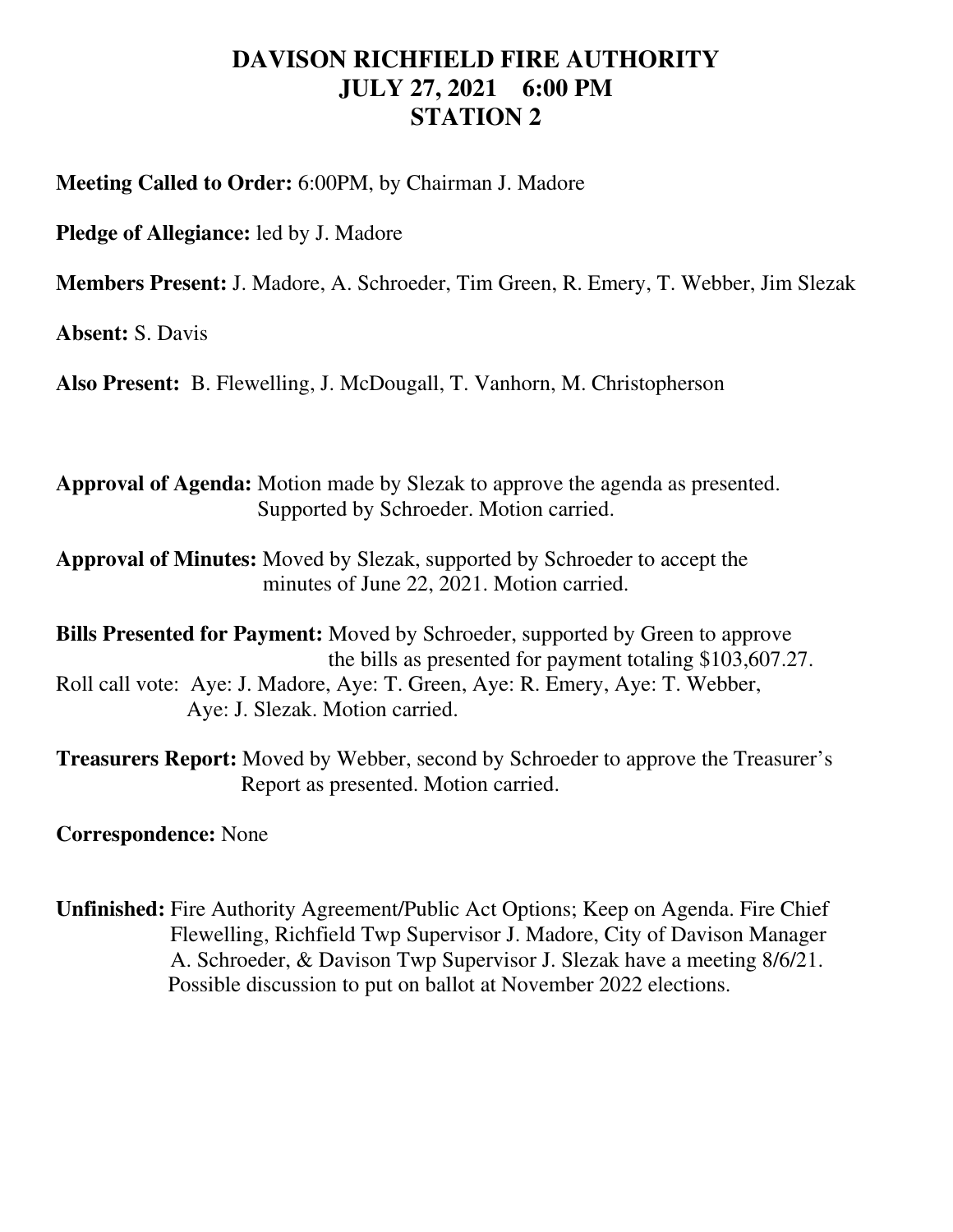## **DAVISON RICHFIELD FIRE AUTHORITY JULY 27, 2021 6:00 PM STATION 2**

**Meeting Called to Order:** 6:00PM, by Chairman J. Madore

**Pledge of Allegiance:** led by J. Madore

**Members Present:** J. Madore, A. Schroeder, Tim Green, R. Emery, T. Webber, Jim Slezak

**Absent:** S. Davis

**Also Present:** B. Flewelling, J. McDougall, T. Vanhorn, M. Christopherson

**Approval of Agenda:** Motion made by Slezak to approve the agenda as presented. Supported by Schroeder. Motion carried.

**Approval of Minutes:** Moved by Slezak, supported by Schroeder to accept the minutes of June 22, 2021. Motion carried.

**Bills Presented for Payment:** Moved by Schroeder, supported by Green to approve the bills as presented for payment totaling \$103,607.27. Roll call vote: Aye: J. Madore, Aye: T. Green, Aye: R. Emery, Aye: T. Webber, Aye: J. Slezak. Motion carried.

**Treasurers Report:** Moved by Webber, second by Schroeder to approve the Treasurer's Report as presented. Motion carried.

**Correspondence:** None

**Unfinished:** Fire Authority Agreement/Public Act Options; Keep on Agenda. Fire Chief Flewelling, Richfield Twp Supervisor J. Madore, City of Davison Manager A. Schroeder, & Davison Twp Supervisor J. Slezak have a meeting 8/6/21. Possible discussion to put on ballot at November 2022 elections.